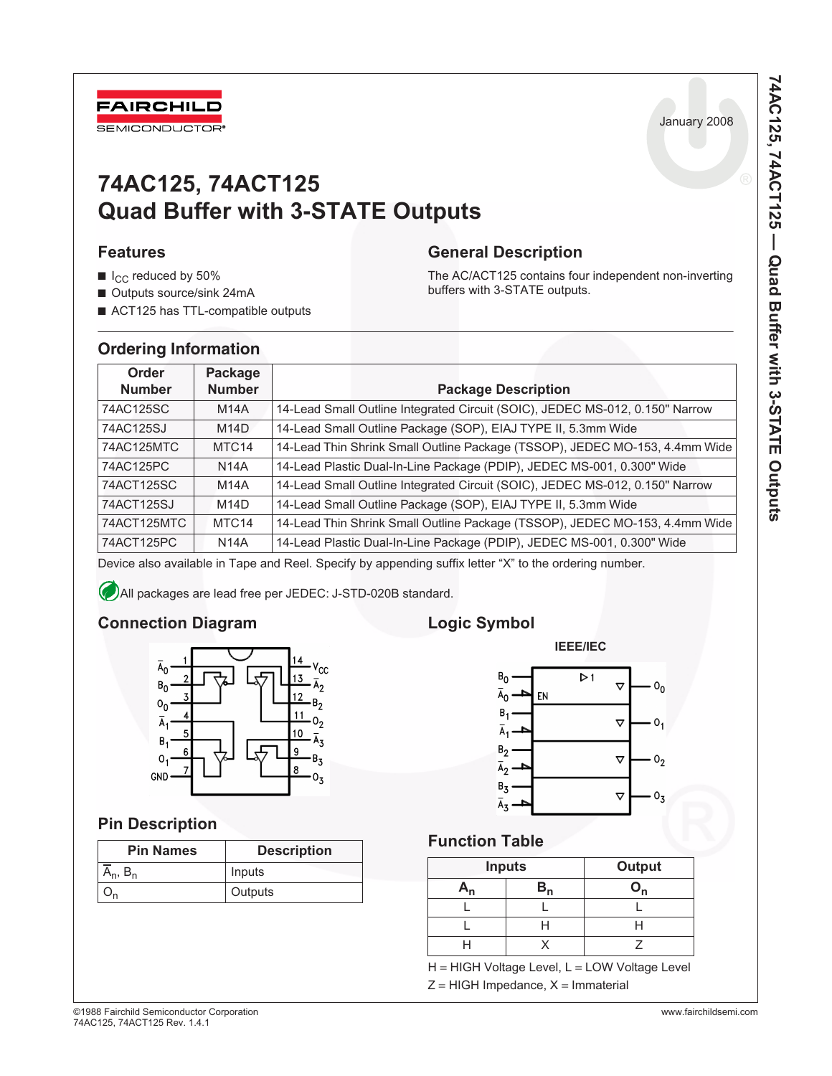

# **74AC125, 74ACT125 Quad Buffer with 3-STATE Outputs**

## **Features**

- $\blacksquare$  I<sub>CC</sub> reduced by 50%
- Outputs source/sink 24mA
- ACT125 has TTL-compatible outputs

# **General Description**

The AC/ACT125 contains four independent non-inverting buffers with 3-STATE outputs.

# **Ordering Information**

| Order<br><b>Number</b> | Package<br><b>Number</b> | <b>Package Description</b>                                                   |
|------------------------|--------------------------|------------------------------------------------------------------------------|
| 74AC125SC              | <b>M14A</b>              | 14-Lead Small Outline Integrated Circuit (SOIC), JEDEC MS-012, 0.150" Narrow |
| 74AC125SJ              | M14D                     | 14-Lead Small Outline Package (SOP), EIAJ TYPE II, 5.3mm Wide                |
| 74AC125MTC             | MTC <sub>14</sub>        | 14-Lead Thin Shrink Small Outline Package (TSSOP), JEDEC MO-153, 4.4mm Wide  |
| 74AC125PC              | <b>N14A</b>              | 14-Lead Plastic Dual-In-Line Package (PDIP), JEDEC MS-001, 0.300" Wide       |
| 74ACT125SC             | <b>M14A</b>              | 14-Lead Small Outline Integrated Circuit (SOIC), JEDEC MS-012, 0.150" Narrow |
| 74ACT125SJ             | M14D                     | 14-Lead Small Outline Package (SOP), EIAJ TYPE II, 5.3mm Wide                |
| 74ACT125MTC            | MTC <sub>14</sub>        | 14-Lead Thin Shrink Small Outline Package (TSSOP), JEDEC MO-153, 4.4mm Wide  |
| 74ACT125PC             | <b>N14A</b>              | 14-Lead Plastic Dual-In-Line Package (PDIP), JEDEC MS-001, 0.300" Wide       |

Device also available in Tape and Reel. Specify by appending suffix letter "X" to the ordering number.

All packages are lead free per JEDEC: J-STD-020B standard.

# **Connection Diagram**



# **Pin Description**

| <b>Pin Names</b> | <b>Description</b> |
|------------------|--------------------|
| ¬ո,              | Inputs             |
|                  | Outputs            |

# **Logic Symbol**



# **Function Table**

|     | <b>Inputs</b> | Output |
|-----|---------------|--------|
| An. | $B_n$         |        |
|     |               |        |
|     |               |        |
|     |               |        |

H = HIGH Voltage Level, L = LOW Voltage Level Z = HIGH Impedance, X = Immaterial

Ja nuary 2008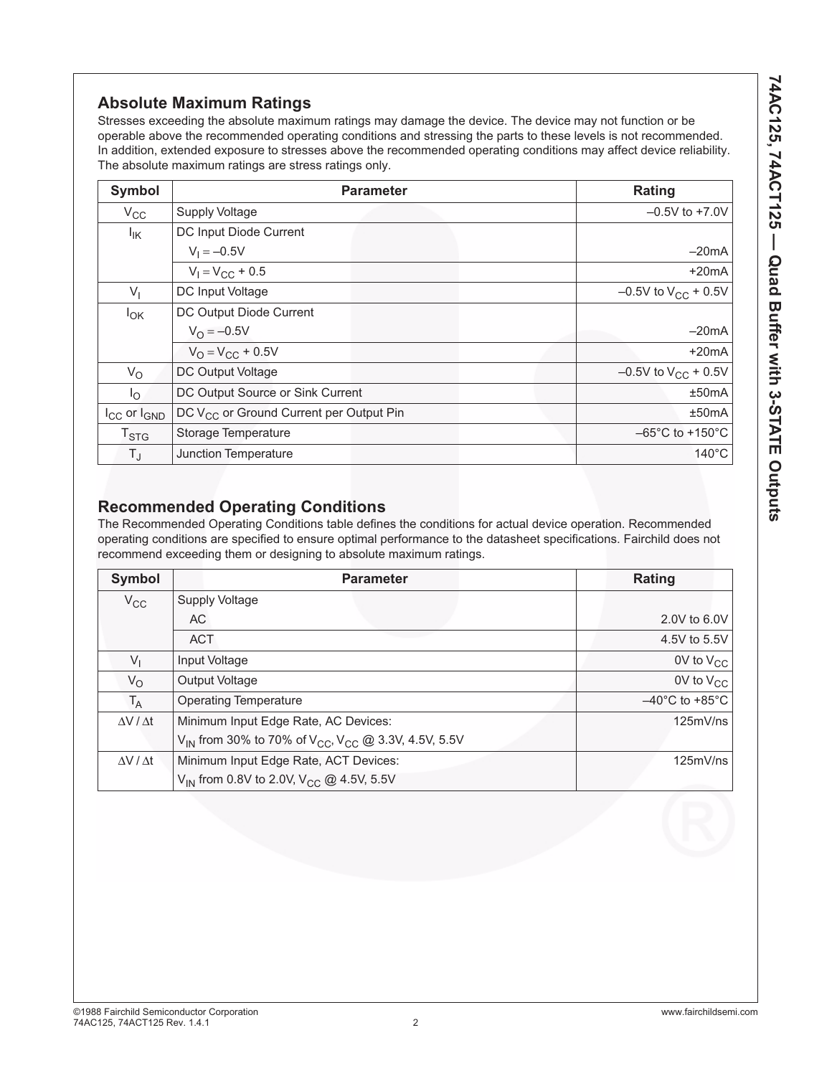# **Absolute Maximum Ratings**

Stresses exceeding the absolute maximum ratings may damage the device. The device may not function or be operable above the recommended operating conditions and stressing the parts to these levels is not recommended. In addition, extended exposure to stresses above the recommended operating conditions may affect device reliability. The absolute maximum ratings are stress ratings only.

| Symbol                      | <b>Parameter</b>                                    | Rating                               |
|-----------------------------|-----------------------------------------------------|--------------------------------------|
| $V_{\rm CC}$                | <b>Supply Voltage</b>                               | $-0.5V$ to $+7.0V$                   |
| $I_{IK}$                    | DC Input Diode Current                              |                                      |
|                             | $V_1 = -0.5V$                                       | $-20mA$                              |
|                             | $V_1 = V_{CC} + 0.5$                                | $+20mA$                              |
| $V_{1}$                     | DC Input Voltage                                    | $-0.5V$ to $V_{CC}$ + 0.5V           |
| $I_{OK}$                    | DC Output Diode Current                             |                                      |
|                             | $V_{\Omega} = -0.5V$                                | $-20mA$                              |
|                             | $V_{\Omega} = V_{\text{CC}} + 0.5V$                 | $+20mA$                              |
| $V_{\rm O}$                 | DC Output Voltage                                   | $-0.5V$ to $V_{CC}$ + 0.5V           |
| $I_{\bigcirc}$              | DC Output Source or Sink Current                    | ±50mA                                |
| $I_{CC}$ or $I_{GND}$       | DC V <sub>CC</sub> or Ground Current per Output Pin | ±50mA                                |
| $\mathsf{T}_{\textsf{STG}}$ | Storage Temperature                                 | $-65^{\circ}$ C to +150 $^{\circ}$ C |
| $T_{\sf J}$                 | Junction Temperature                                | $140^{\circ}$ C                      |

# **Recommended Operating Conditions**

The Recommended Operating Conditions table defines the conditions for actual device operation. Recommended operating conditions are specified to ensure optimal performance to the datasheet specifications. Fairchild does not recommend exceeding them or designing to absolute maximum ratings.

| Symbol                | <b>Parameter</b>                                                                        | Rating                              |
|-----------------------|-----------------------------------------------------------------------------------------|-------------------------------------|
| $V_{\rm CC}$          | <b>Supply Voltage</b>                                                                   |                                     |
|                       | AC.                                                                                     | 2.0V to 6.0V                        |
|                       | <b>ACT</b>                                                                              | 4.5V to 5.5V                        |
| $V_{1}$               | Input Voltage                                                                           | OV to $V_{CC}$                      |
| $V_{\rm O}$           | Output Voltage                                                                          | $0V$ to $V_{CC}$                    |
| $T_A$                 | <b>Operating Temperature</b>                                                            | $-40^{\circ}$ C to +85 $^{\circ}$ C |
| $\Delta V / \Delta t$ | Minimum Input Edge Rate, AC Devices:                                                    | 125mV/ns                            |
|                       | V <sub>IN</sub> from 30% to 70% of V <sub>CC</sub> , V <sub>CC</sub> @ 3.3V, 4.5V, 5.5V |                                     |
| $\Delta V / \Delta t$ | Minimum Input Edge Rate, ACT Devices:                                                   | 125mV/ns                            |
|                       | V <sub>IN</sub> from 0.8V to 2.0V, V <sub>CC</sub> @ 4.5V, 5.5V                         |                                     |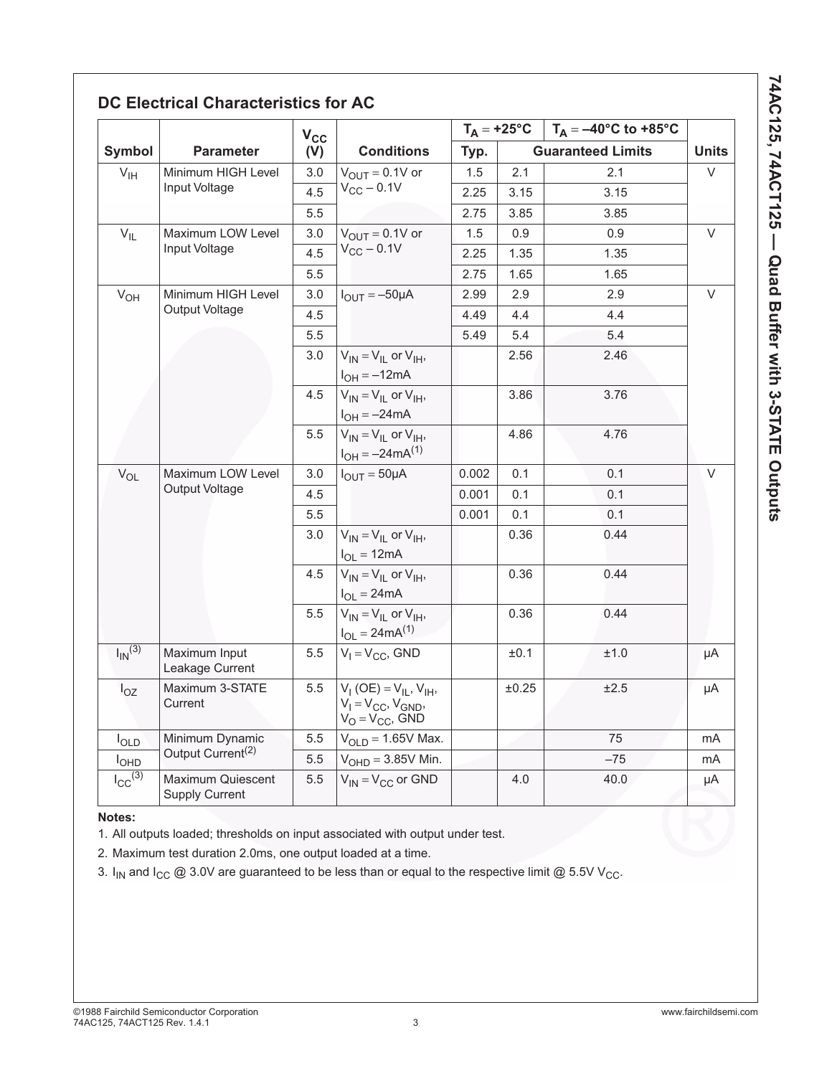|                        |                                            | $V_{CC}$                                            |                                                                                         |       |       | $T_A = +25^{\circ}C$   $T_A = -40^{\circ}C$ to $+85^{\circ}C$ |              |
|------------------------|--------------------------------------------|-----------------------------------------------------|-----------------------------------------------------------------------------------------|-------|-------|---------------------------------------------------------------|--------------|
| Symbol                 | <b>Parameter</b>                           | (V)                                                 | <b>Conditions</b>                                                                       | Typ.  |       | <b>Guaranteed Limits</b>                                      | <b>Units</b> |
| $V_{\text{IH}}$        | Minimum HIGH Level                         | 3.0                                                 | $V_{OUT} = 0.1V$ or                                                                     | 1.5   | 2.1   | 2.1                                                           | $\vee$       |
|                        | Input Voltage                              | 4.5                                                 | $V_{CC}$ - 0.1V                                                                         | 2.25  | 3.15  | 3.15                                                          |              |
|                        |                                            | 5.5                                                 |                                                                                         | 2.75  | 3.85  | 3.85                                                          |              |
| $V_{IL}$               | Maximum LOW Level                          | 3.0                                                 | $V_{\text{OLIT}} = 0.1V$ or                                                             | 1.5   | 0.9   | 0.9                                                           | V            |
|                        | Input Voltage                              | 4.5                                                 | $V_{CC}$ - 0.1V                                                                         | 2.25  | 1.35  | 1.35                                                          |              |
|                        |                                            | 5.5                                                 |                                                                                         | 2.75  | 1.65  | 1.65                                                          |              |
| $V_{OH}$               | Minimum HIGH Level                         | 3.0                                                 | $I_{OUT} = -50 \mu A$                                                                   | 2.99  | 2.9   | 2.9                                                           | V            |
|                        | Output Voltage<br>4.5                      |                                                     |                                                                                         | 4.49  | 4.4   | 4.4                                                           |              |
|                        |                                            | 5.5                                                 |                                                                                         | 5.49  | 5.4   | 5.4                                                           |              |
|                        | 3.0                                        | $V_{IN} = V_{IL}$ or $V_{IH}$ ,<br>$I_{OH} = -12mA$ |                                                                                         | 2.56  | 2.46  |                                                               |              |
|                        |                                            | 4.5                                                 | $V_{IN} = V_{IL}$ or $V_{IH}$ ,<br>$I_{OH} = -24mA$                                     |       | 3.86  | 3.76                                                          |              |
|                        |                                            | 5.5                                                 | $V_{IN} = V_{IL}$ or $V_{IH}$ ,<br>$I_{OH} = -24mA^{(1)}$                               |       | 4.86  | 4.76                                                          |              |
| $V_{OL}$               | Maximum LOW Level                          | 3.0                                                 | $I_{OUT} = 50 \mu A$                                                                    | 0.002 | 0.1   | 0.1                                                           | V            |
|                        | <b>Output Voltage</b>                      | 4.5                                                 |                                                                                         | 0.001 | 0.1   | 0.1                                                           |              |
|                        |                                            | 5.5                                                 |                                                                                         | 0.001 | 0.1   | 0.1                                                           |              |
|                        |                                            | 3.0                                                 | $V_{IN} = V_{II}$ or $V_{IH}$ ,<br>$I_{OL} = 12mA$                                      |       | 0.36  | 0.44                                                          |              |
|                        |                                            | 4.5                                                 | $V_{IN} = V_{II}$ or $V_{IH}$ ,<br>$I_{OL} = 24mA$                                      |       | 0.36  | 0.44                                                          |              |
|                        |                                            | 5.5                                                 | $V_{IN} = V_{IL}$ or $V_{IH}$ ,<br>$I_{OL} = 24mA^{(1)}$                                |       | 0.36  | 0.44                                                          |              |
| $I_{\text{IN}}^{(3)}$  | Maximum Input<br>Leakage Current           | 5.5                                                 | $V_1 = V_{CC}$ , GND                                                                    |       | ±0.1  | ±1.0                                                          | μA           |
| $I_{OZ}$               | Maximum 3-STATE<br>Current                 | $5.5\,$                                             | $V_1(OE) = V_{IL}$ , $V_{IH}$ ,<br>$V_1 = V_{CC}$ , $V_{GND}$ ,<br>$V_O = V_{CC}$ , GND |       | ±0.25 | ±2.5                                                          | μA           |
| $I_{OLD}$              | Minimum Dynamic                            | 5.5                                                 | $VOLD = 1.65V$ Max.                                                                     |       |       | 75                                                            | mA           |
| $I_{OHD}$              | Output Current <sup>(2)</sup>              | 5.5                                                 | $VOHD = 3.85V$ Min.                                                                     |       |       | $-75$                                                         | mA           |
| $I_{CC}(\overline{3)}$ | Maximum Quiescent<br><b>Supply Current</b> | 5.5                                                 | $V_{IN} = V_{CC}$ or GND                                                                |       | 4.0   | 40.0                                                          | μA           |

# 74AC125, 74ACT125 - Quad Buffer with 3-STATE Outputs **74AC125, 74ACT125 — Quad Buffer with 3-STATE Outputs**

### **Notes:**

1. All outputs loaded; thresholds on input associated with output under test.

2. Maximum test duration 2.0ms, one output loaded at a time.

3.  $I_{IN}$  and  $I_{CC}$  @ 3.0V are guaranteed to be less than or equal to the respective limit @ 5.5V V<sub>CC</sub>.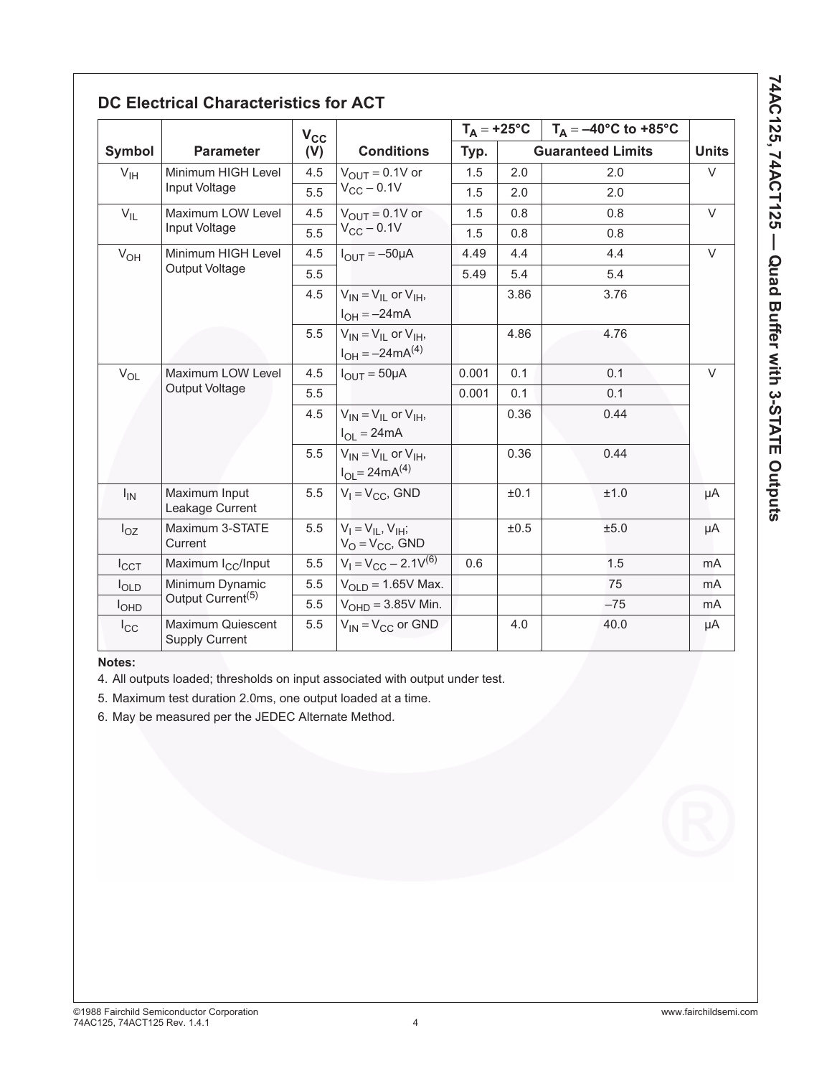|                  |                                                   | $V_{CC}$ |                                                           |       | $T_A = +25^{\circ}C$ | $T_A = -40^{\circ}$ C to +85 $^{\circ}$ C |              |
|------------------|---------------------------------------------------|----------|-----------------------------------------------------------|-------|----------------------|-------------------------------------------|--------------|
| Symbol           | <b>Parameter</b>                                  | (V)      | <b>Conditions</b>                                         | Typ.  |                      | <b>Guaranteed Limits</b>                  | <b>Units</b> |
| V <sub>IH</sub>  | Minimum HIGH Level                                | 4.5      | $V_{\text{OUT}} = 0.1V$ or                                | 1.5   | 2.0                  | 2.0                                       | $\vee$       |
|                  | Input Voltage                                     | 5.5      | $V_{CC}$ – 0.1V                                           | 1.5   | 2.0                  | 2.0                                       |              |
| $V_{IL}$         | Maximum LOW Level                                 | 4.5      | $V_{OUIT} = 0.1V$ or                                      | 1.5   | 0.8                  | 0.8                                       | $\vee$       |
|                  | Input Voltage                                     | 5.5      | $V_{CC}$ - 0.1V                                           |       | 0.8                  | 0.8                                       |              |
| $V_{OH}$         | Minimum HIGH Level                                | 4.5      | $I_{OIII} = -50 \mu A$                                    | 4.49  | 4.4                  | 4.4                                       | $\vee$       |
|                  | <b>Output Voltage</b>                             | 5.5      |                                                           | 5.49  | 5.4                  | 5.4                                       |              |
|                  |                                                   | 4.5      | $V_{IN} = V_{II}$ or $V_{IH}$ ,<br>$I_{OH} = -24mA$       |       | 3.86                 | 3.76                                      |              |
|                  |                                                   | 5.5      | $V_{IN} = V_{II}$ or $V_{IH}$ ,<br>$I_{OH} = -24mA^{(4)}$ |       | 4.86                 | 4.76                                      |              |
| $V_{OL}$         | Maximum LOW Level                                 | 4.5      | $I_{OUIT} = 50 \mu A$                                     | 0.001 | 0.1                  | 0.1                                       | $\vee$       |
|                  | <b>Output Voltage</b>                             | 5.5      |                                                           | 0.001 | 0.1                  | 0.1                                       |              |
|                  |                                                   | 4.5      | $V_{IN} = V_{II}$ or $V_{IH}$ ,<br>$I_{OL} = 24mA$        |       | 0.36                 | 0.44                                      |              |
|                  |                                                   | 5.5      | $V_{IN} = V_{II}$ or $V_{IH}$ ,<br>$I_{OL} = 24mA^{(4)}$  |       | 0.36                 | 0.44                                      |              |
| $I_{IN}$         | Maximum Input<br>Leakage Current                  | 5.5      | $V_1 = V_{CC}$ , GND                                      |       | ±0.1                 | ±1.0                                      | μA           |
| $I_{OZ}$         | Maximum 3-STATE<br>Current                        | 5.5      | $V_I = V_{II}$ , $V_{IH}$ ;<br>$V_O = V_{CC}$ , GND       |       | ±0.5                 | ±5.0                                      | μA           |
| $I_{CCT}$        | Maximum I <sub>CC</sub> /Input                    | 5.5      | $V_1 = V_{CC} - 2.1V^{(6)}$                               | 0.6   |                      | 1.5                                       | mA           |
| $I_{OLD}$        | Minimum Dynamic                                   | 5.5      | $V_{OLD} = 1.65V$ Max.                                    |       |                      | 75                                        | mA           |
| I <sub>OPD</sub> | Output Current <sup>(5)</sup>                     | 5.5      | $VOHD = 3.85V$ Min.                                       |       |                      | $-75$                                     | mA           |
| $I_{\rm CC}$     | <b>Maximum Quiescent</b><br><b>Supply Current</b> | 5.5      | $V_{IN} = V_{CC}$ or GND                                  |       | 4.0                  | 40.0                                      | μA           |

### **Notes:**

4. All outputs loaded; thresholds on input associated with output under test.

5. Maximum test duration 2.0ms, one output loaded at a time.

6. May be measured per the JEDEC Alternate Method.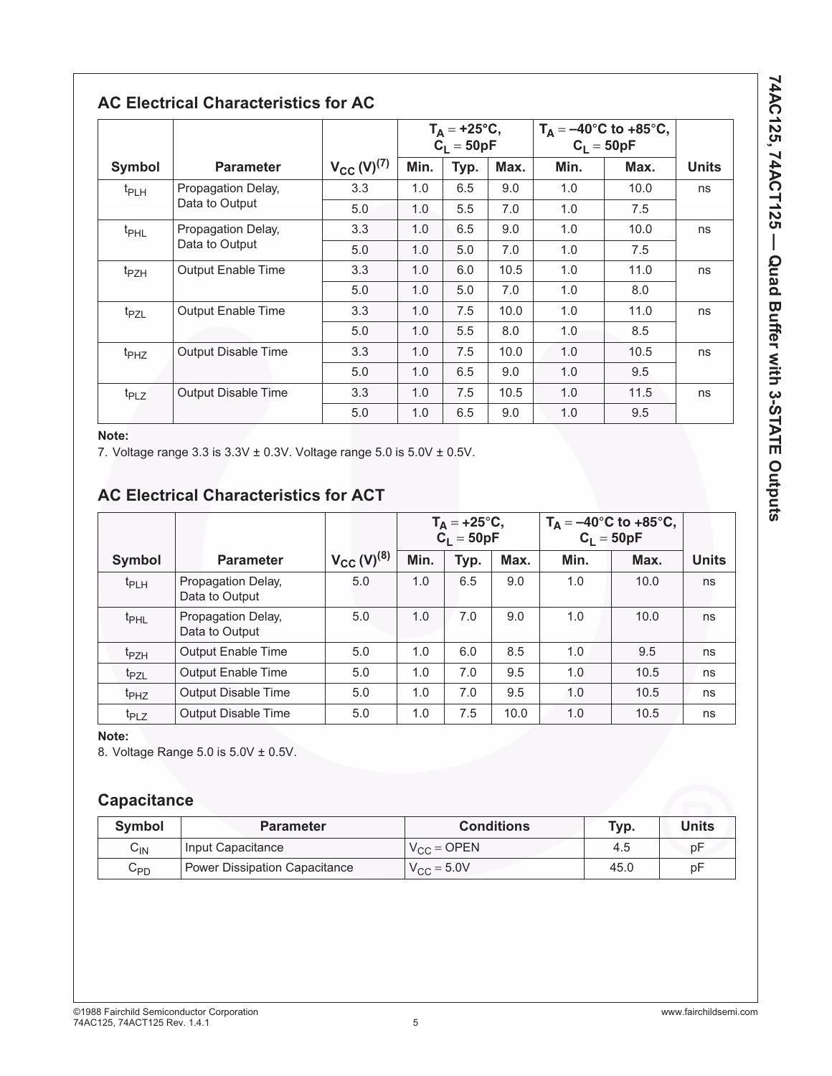|                                 |                                      |                    | $T_A = +25^{\circ}C,$<br>C <sub>L</sub> = 50pF |      |      | $T_A = -40^{\circ}C$ to $+85^{\circ}C$ ,<br>$C_1 = 50pF$ |      |              |
|---------------------------------|--------------------------------------|--------------------|------------------------------------------------|------|------|----------------------------------------------------------|------|--------------|
| Symbol                          | <b>Parameter</b>                     | $V_{CC} (V)^{(7)}$ | Min.                                           | Typ. | Max. | Min.                                                     | Max. | <b>Units</b> |
| Propagation Delay,<br>$t_{PLH}$ | 3.3                                  | 1.0                | 6.5                                            | 9.0  | 1.0  | 10.0                                                     | ns   |              |
|                                 | Data to Output                       | 5.0                | 1.0                                            | 5.5  | 7.0  | 1.0                                                      | 7.5  |              |
| t <sub>PHL</sub>                | Propagation Delay,<br>Data to Output | 3.3                | 1.0                                            | 6.5  | 9.0  | 1.0                                                      | 10.0 | ns           |
|                                 |                                      | 5.0                | 1.0                                            | 5.0  | 7.0  | 1.0                                                      | 7.5  |              |
| t <sub>PZH</sub>                | <b>Output Enable Time</b>            | 3.3                | 1.0                                            | 6.0  | 10.5 | 1.0                                                      | 11.0 | ns           |
|                                 |                                      | 5.0                | 1.0                                            | 5.0  | 7.0  | 1.0                                                      | 8.0  |              |
| t <sub>PZL</sub>                | <b>Output Enable Time</b>            | 3.3                | 1.0                                            | 7.5  | 10.0 | 1.0                                                      | 11.0 | ns           |
|                                 |                                      | 5.0                | 1.0                                            | 5.5  | 8.0  | 1.0                                                      | 8.5  |              |
| t <sub>PHZ</sub>                | Output Disable Time                  | 3.3                | 1.0                                            | 7.5  | 10.0 | 1.0                                                      | 10.5 | ns           |
|                                 |                                      | 5.0                | 1.0                                            | 6.5  | 9.0  | 1.0                                                      | 9.5  |              |
| t <sub>PLZ</sub>                | Output Disable Time                  | 3.3                | 1.0                                            | 7.5  | 10.5 | 1.0                                                      | 11.5 | ns           |
|                                 |                                      | 5.0                | 1.0                                            | 6.5  | 9.0  | 1.0                                                      | 9.5  |              |

### **Note:**

7. Voltage range  $3.3$  is  $3.3V \pm 0.3V$ . Voltage range  $5.0$  is  $5.0V \pm 0.5V$ .

# **AC Electrical Characteristics for ACT**

|                  |                                      |                    |      | $T_A = +25^{\circ}C,$<br>$C_1 = 50pF$ |      |      | $T_A = -40^{\circ}C$ to +85°C,<br>$C_1 = 50pF$ |              |
|------------------|--------------------------------------|--------------------|------|---------------------------------------|------|------|------------------------------------------------|--------------|
| <b>Symbol</b>    | <b>Parameter</b>                     | $V_{CC} (V)^{(8)}$ | Min. | Typ.                                  | Max. | Min. | Max.                                           | <b>Units</b> |
| $t_{PLH}$        | Propagation Delay,<br>Data to Output | 5.0                | 1.0  | 6.5                                   | 9.0  | 1.0  | 10.0                                           | ns           |
| t <sub>PHL</sub> | Propagation Delay,<br>Data to Output | 5.0                | 1.0  | 7.0                                   | 9.0  | 1.0  | 10.0                                           | ns           |
| t <sub>PZH</sub> | <b>Output Enable Time</b>            | 5.0                | 1.0  | 6.0                                   | 8.5  | 1.0  | 9.5                                            | ns           |
| t <sub>PZL</sub> | <b>Output Enable Time</b>            | 5.0                | 1.0  | 7.0                                   | 9.5  | 1.0  | 10.5                                           | ns           |
| t <sub>PHZ</sub> | <b>Output Disable Time</b>           | 5.0                | 1.0  | 7.0                                   | 9.5  | 1.0  | 10.5                                           | ns           |
| t <sub>PLZ</sub> | <b>Output Disable Time</b>           | 5.0                | 1.0  | 7.5                                   | 10.0 | 1.0  | 10.5                                           | ns           |

### **Note:**

8. Voltage Range 5.0 is 5.0V ± 0.5V.

# **Capacitance**

| <b>Symbol</b> | <b>Parameter</b>              | <b>Conditions</b>      | Typ. | Units |
|---------------|-------------------------------|------------------------|------|-------|
| ∽៲Ν           | Input Capacitance             | $V_{\rm CC}$ = OPEN    | 4.5  | рF    |
| $C_{PD}$      | Power Dissipation Capacitance | $V_{\text{CC}} = 5.0V$ | 45.0 | рF    |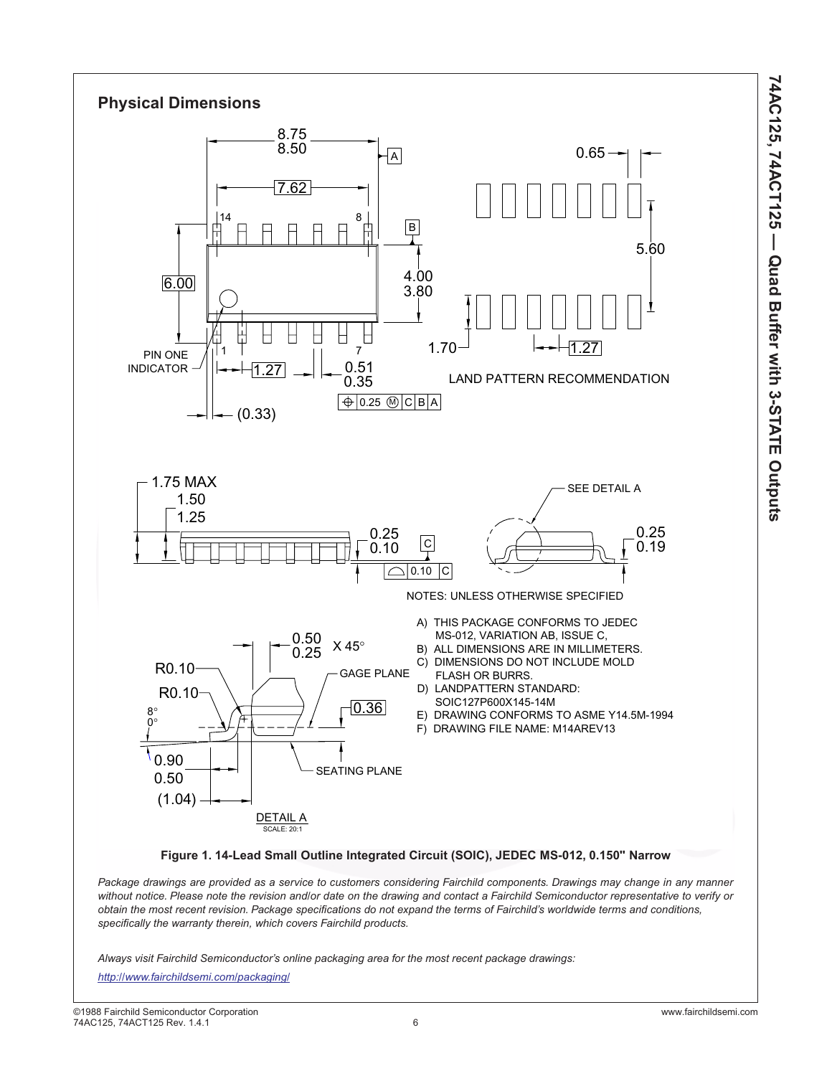

*Package drawings are provided as a service to customers considering Fairchild components. Drawings may change in any manner without notice. Please note the revision and/or date on the drawing and contact a Fairchild Semiconductor representative to verify or obtain the most recent revision. Package specifications do not expand the terms of Fairchild's worldwide terms and conditions, specifically the warranty therein, which covers Fairchild products.*

*Always visit Fairchild Semiconductor's online packaging area for the most recent package drawings:*

*<http://www.fairchildsemi.com/packaging/>*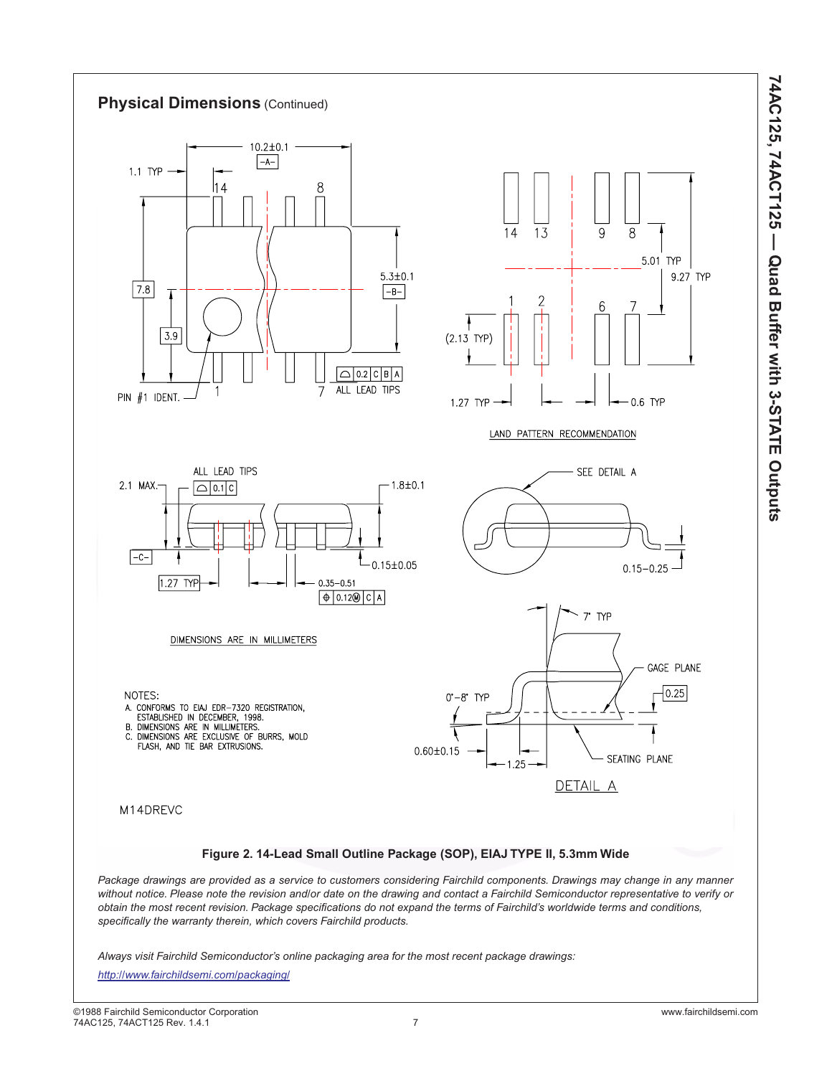

*<http://www.fairchildsemi.com/packaging/>*

**74AC125, 74ACT125 — Quad Buffer with 3-STATE Outputs**

74AC125, 74ACT125 - Quad Buffer with 3-STATE Outputs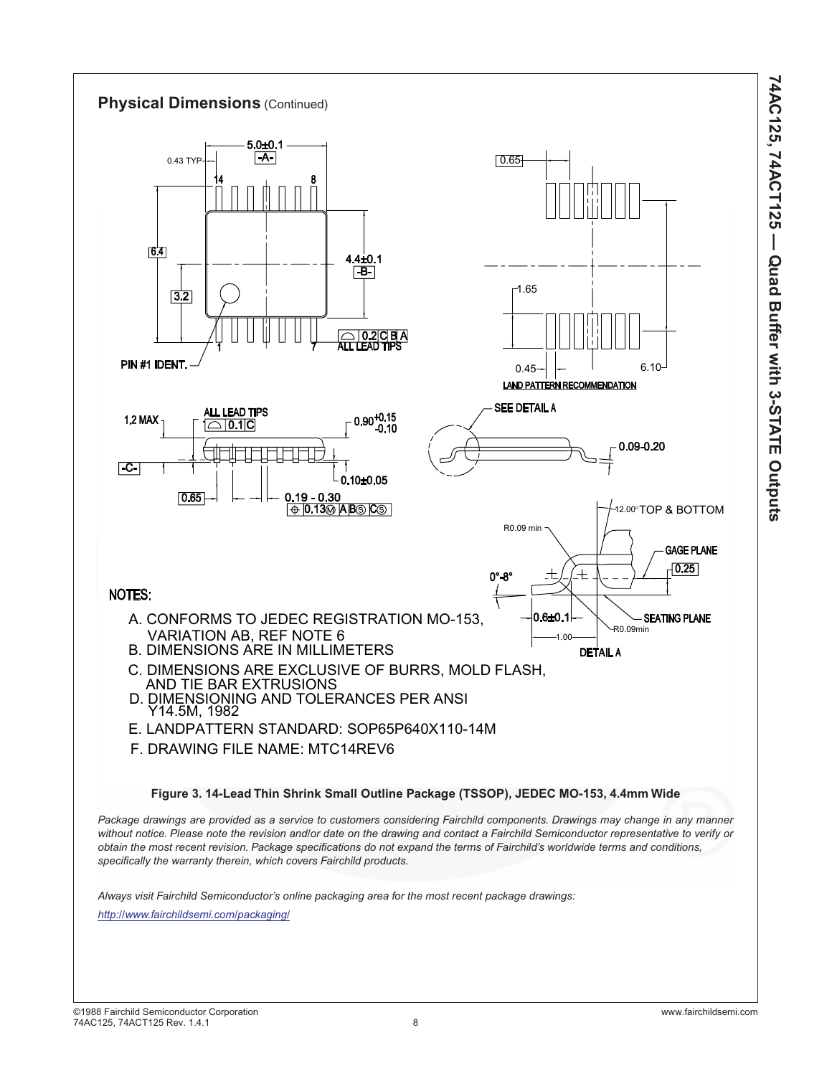

**74AC125, 74ACT125 — Quad Buffer with 3-STATE Outputs**

74AC125, 74ACT125 - Quad Buffer with 3-STATE Outputs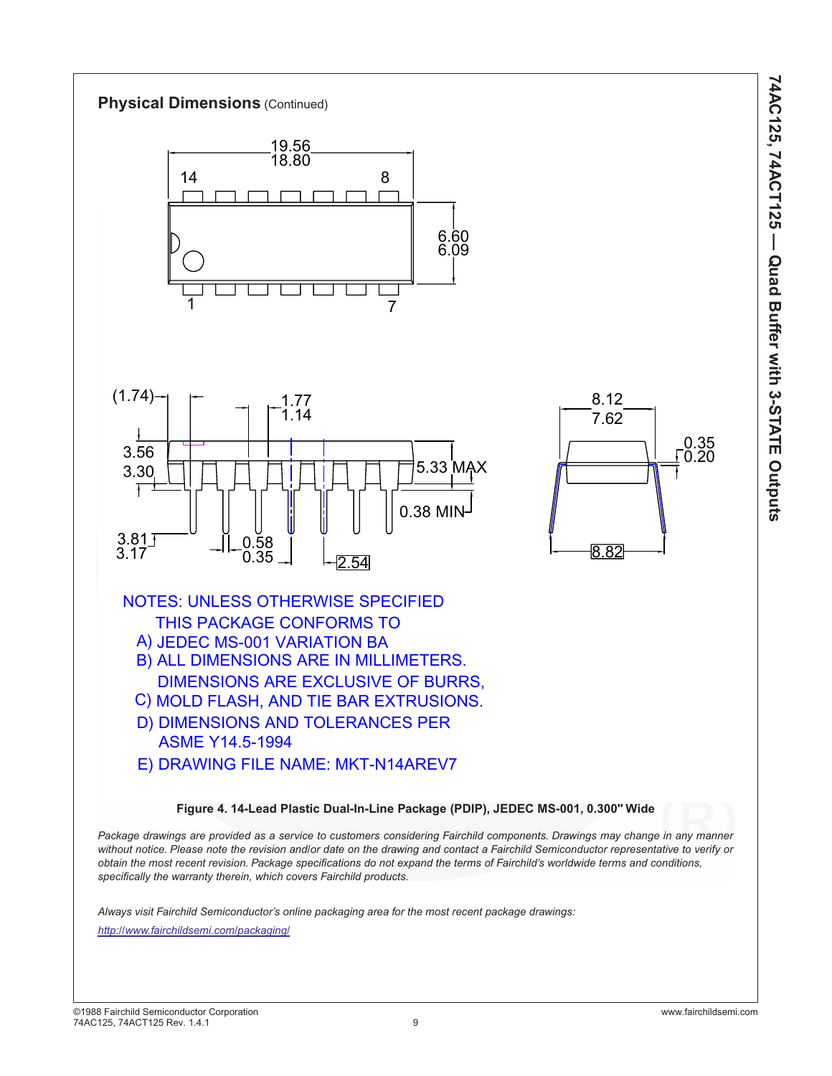